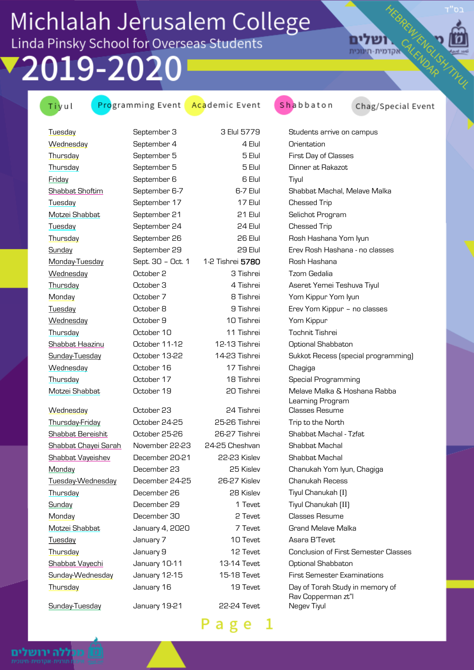## Michlalah Jerusalem College<br>Linda Pinsky School for Overseas Students

72019-2020

| la Pinsky School for Overseas Students |                   |                  |                                                       | אקדמית-תונכית      |
|----------------------------------------|-------------------|------------------|-------------------------------------------------------|--------------------|
| <b>019-2020</b>                        |                   |                  |                                                       |                    |
| Tiyul                                  | Programming Event | Academic Event   | Shabbaton                                             | Chag/Special Event |
| Tuesday                                | September 3       | 3 Elul 5779      | Students arrive on campus                             |                    |
| Wednesday                              | September 4       | 4 Elul           | Orientation                                           |                    |
| Thursday                               | September 5       | 5 Elul           | First Day of Classes                                  |                    |
| Thursday                               | September 5       | 5 Elul           | Dinner at Rakazot                                     |                    |
| Friday                                 | September 6       | 6 Elul           | Tiyul                                                 |                    |
| Shabbat Shoftim                        | September 6-7     | 6-7 Elul         | Shabbat Machal, Melaye Malka                          |                    |
| Tuesday                                | September 17      | 17 Elul          | <b>Chessed Trip</b>                                   |                    |
| Motzei Shabbat                         | September 21      | 21 Elul          | Selichot Program                                      |                    |
| Tuesday                                | September 24      | 24 Elul          | <b>Chessed Trip</b>                                   |                    |
| Thursday                               | September 26      | 26 Elul          | Rosh Hashana Yom Iyun                                 |                    |
| Sunday                                 | September 29      | 29 Elul          | Erey Rosh Hashana - no classes                        |                    |
| Monday-Tuesday                         | Sept. 30 - Oct. 1 | 1-2 Tishrei 5780 | Rosh Hashana                                          |                    |
| Wednesday                              | October 2         | 3 Tishrei        | Tzom Gedalia                                          |                    |
| Thursday                               | October 3         | 4 Tishrei        | Aseret Yemei Teshuva Tiyul                            |                    |
| Monday                                 | October 7         | 8 Tishrei        | Yom Kippur Yom Iyun                                   |                    |
| Tuesday                                | October 8         | 9 Tishrei        | Erev Yom Kippur - no classes                          |                    |
| Wednesday                              | October 9         | 10 Tishrei       | Yom Kippur                                            |                    |
| Thursday                               | October 10        | 11 Tishrei       | <b>Tochnit Tishrei</b>                                |                    |
| Shabbat Haazinu                        | October 11-12     | 12-13 Tishrei    | Optional Shabbaton                                    |                    |
| Sunday-Tuesday                         | October 13-22     | 14-23 Tishrei    | Sukkot Recess (special programming)                   |                    |
| Wednesday                              | October 16        | 17 Tishrei       | Chagiga                                               |                    |
| Thursday                               | October 17        | 18 Tishrei       | Special Programming                                   |                    |
| Motzei Shabbat                         | October 19        | 20 Tishrei       | Melave Malka & Hoshana Rabba<br>Learning Program      |                    |
| Wednesday                              | October 23        | 24 Tishrei       | <b>Classes Resume</b>                                 |                    |
| <b>Thursday-Friday</b>                 | October 24-25     | 25-26 Tishrei    | Trip to the North                                     |                    |
| Shabbat Bereishit                      | October 25-26     | 26-27 Tishrei    | Shabbat Machal - Tzfat                                |                    |
| Shabbat Chayei Sarah                   | November 22-23    | 24-25 Cheshvan   | Shabbat Machal                                        |                    |
| <b>Shabbat Vayeishev</b>               | December 20-21    | 22-23 Kislev     | <b>Shabbat Machal</b>                                 |                    |
| Monday                                 | December 23       | 25 Kislev        | Chanukah Yom Iyun, Chagiga                            |                    |
| Tuesday-Wednesday                      | December 24-25    | 26-27 Kislev     | Chanukah Recess                                       |                    |
| Thursday                               | December 26       | 28 Kislev        | Tiyul Chanukah [I]                                    |                    |
| Sunday                                 | December 29       | 1 Tevet          | Tiyul Chanukah [II]                                   |                    |
| Monday                                 | December 30       | 2 Tevet          | Classes Resume                                        |                    |
| Motzei Shabbat                         | January 4, 2020   | 7 Tevet          | <b>Grand Melave Malka</b>                             |                    |
| Tuesday                                | January 7         | 10 Tevet         | Asara B'Tevet                                         |                    |
| Thursday                               | January 9         | 12 Tevet         | <b>Conclusion of First Semester Classes</b>           |                    |
| Shabbat Vayechi                        | January 10-11     | 13-14 Tevet      | Optional Shabbaton                                    |                    |
| Sunday-Wednesday                       | January 12-15     | 15-18 Tevet      | <b>First Semester Examinations</b>                    |                    |
| Thursday                               | January 16        | 19 Tevet         | Day of Torah Study in memory of<br>Rav Copperman zt"l |                    |
| Sunday-Tuesday                         | January 19-21     | 22-24 Tevet      | Negev Tiyul                                           |                    |